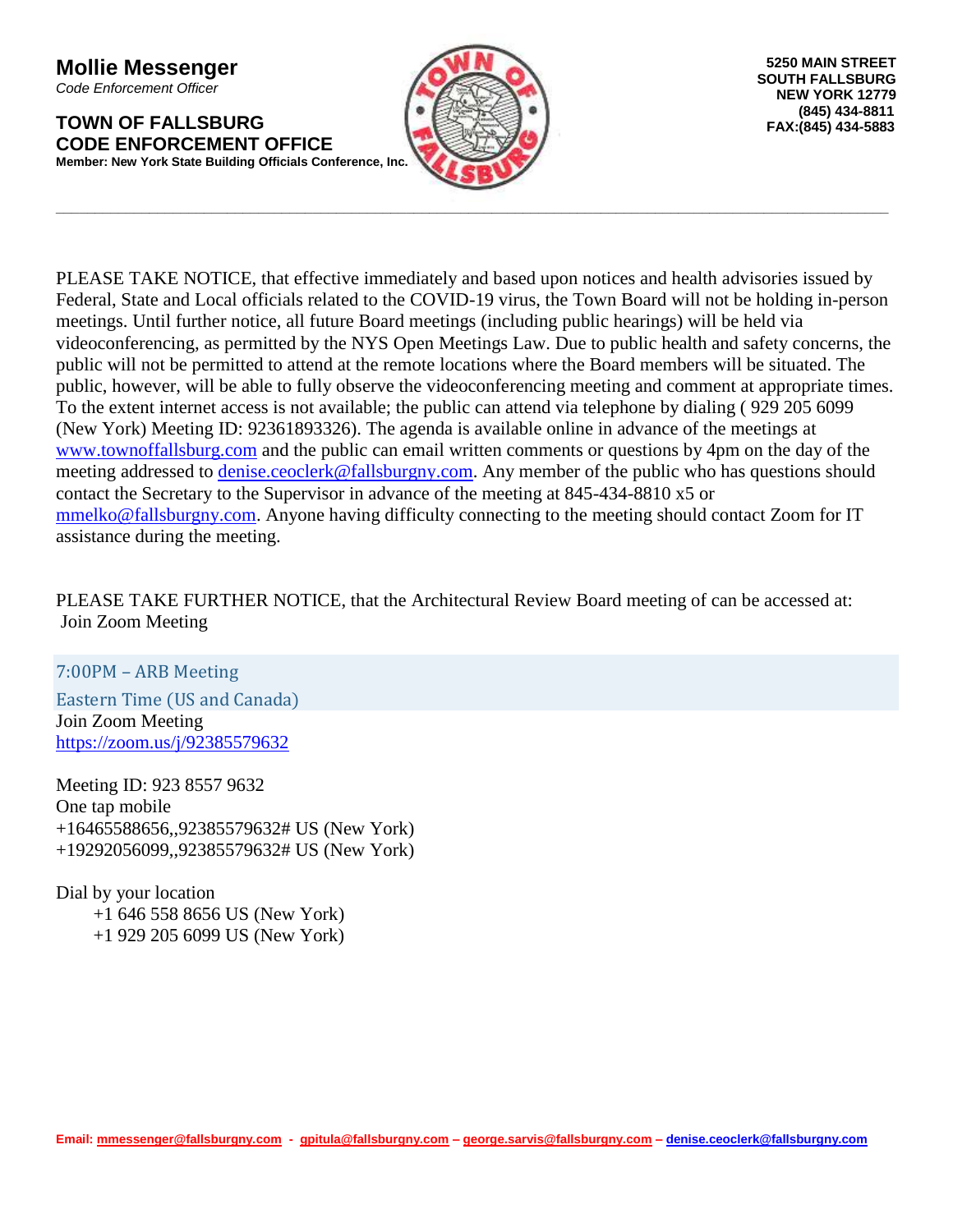**Mollie Messenger** *Code Enforcement Officer*

**TOWN OF FALLSBURG CODE ENFORCEMENT OFFICE Member: New York State Building Officials Conference, Inc.**



**\_\_\_\_\_\_\_\_\_\_\_\_\_\_\_\_\_\_\_\_\_\_\_\_\_\_\_\_\_\_\_\_\_\_\_\_\_\_\_\_\_\_\_\_\_\_\_\_\_\_\_\_\_\_\_\_\_\_\_\_\_\_\_\_\_\_\_\_\_\_\_\_\_\_\_\_\_\_\_\_\_\_\_\_\_\_\_\_\_\_\_\_\_\_\_\_\_\_\_\_\_\_\_\_\_\_\_**

PLEASE TAKE NOTICE, that effective immediately and based upon notices and health advisories issued by Federal, State and Local officials related to the COVID-19 virus, the Town Board will not be holding in-person meetings. Until further notice, all future Board meetings (including public hearings) will be held via videoconferencing, as permitted by the NYS Open Meetings Law. Due to public health and safety concerns, the public will not be permitted to attend at the remote locations where the Board members will be situated. The public, however, will be able to fully observe the videoconferencing meeting and comment at appropriate times. To the extent internet access is not available; the public can attend via telephone by dialing ( 929 205 6099 (New York) Meeting ID: 92361893326). The agenda is available online in advance of the meetings at [www.townoffallsburg.com](http://www.townoffallsburg.com/) and the public can email written comments or questions by 4pm on the day of the meeting addressed to [denise.ceoclerk@fallsburgny.com.](mailto:denise.ceoclerk@fallsburgny.com) Any member of the public who has questions should contact the Secretary to the Supervisor in advance of the meeting at 845-434-8810 x5 or [mmelko@fallsburgny.com.](mailto:mmelko@fallsburgny.com) Anyone having difficulty connecting to the meeting should contact Zoom for IT assistance during the meeting.

PLEASE TAKE FURTHER NOTICE, that the Architectural Review Board meeting of can be accessed at: Join Zoom Meeting

7:00PM – ARB Meeting Eastern Time (US and Canada) Join Zoom Meeting <https://zoom.us/j/92385579632>

Meeting ID: 923 8557 9632 One tap mobile +16465588656,,92385579632# US (New York) +19292056099,,92385579632# US (New York)

Dial by your location +1 646 558 8656 US (New York) +1 929 205 6099 US (New York)